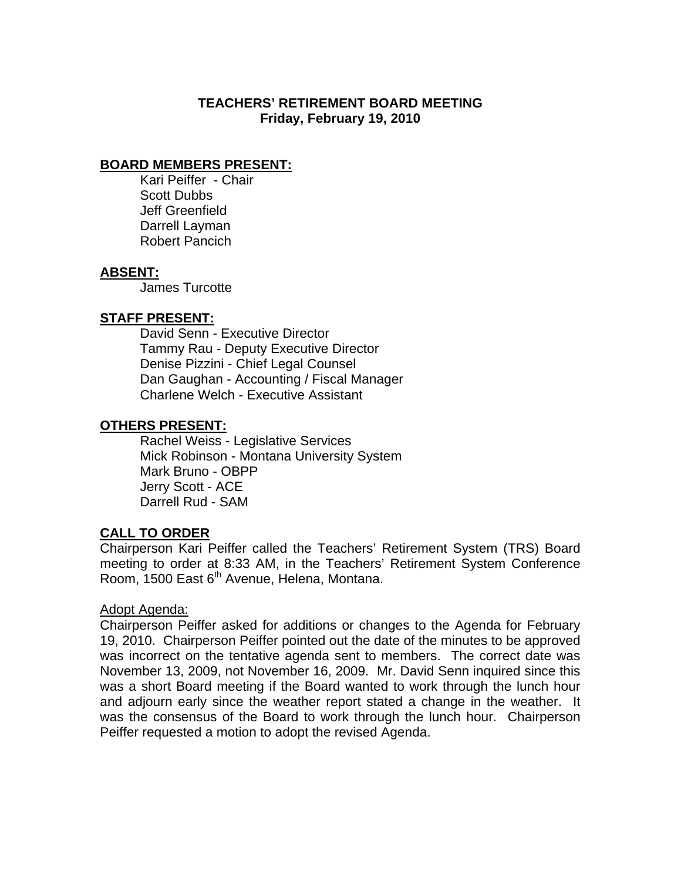# **TEACHERS' RETIREMENT BOARD MEETING Friday, February 19, 2010**

# **BOARD MEMBERS PRESENT:**

Kari Peiffer - Chair Scott Dubbs Jeff Greenfield Darrell Layman Robert Pancich

### **ABSENT:**

James Turcotte

### **STAFF PRESENT:**

 David Senn - Executive Director Tammy Rau - Deputy Executive Director Denise Pizzini - Chief Legal Counsel Dan Gaughan - Accounting / Fiscal Manager Charlene Welch - Executive Assistant

### **OTHERS PRESENT:**

 Rachel Weiss - Legislative Services Mick Robinson - Montana University System Mark Bruno - OBPP Jerry Scott - ACE Darrell Rud - SAM

### **CALL TO ORDER**

Chairperson Kari Peiffer called the Teachers' Retirement System (TRS) Board meeting to order at 8:33 AM, in the Teachers' Retirement System Conference Room, 1500 East 6<sup>th</sup> Avenue, Helena, Montana.

#### Adopt Agenda:

Chairperson Peiffer asked for additions or changes to the Agenda for February 19, 2010. Chairperson Peiffer pointed out the date of the minutes to be approved was incorrect on the tentative agenda sent to members. The correct date was November 13, 2009, not November 16, 2009. Mr. David Senn inquired since this was a short Board meeting if the Board wanted to work through the lunch hour and adjourn early since the weather report stated a change in the weather. It was the consensus of the Board to work through the lunch hour. Chairperson Peiffer requested a motion to adopt the revised Agenda.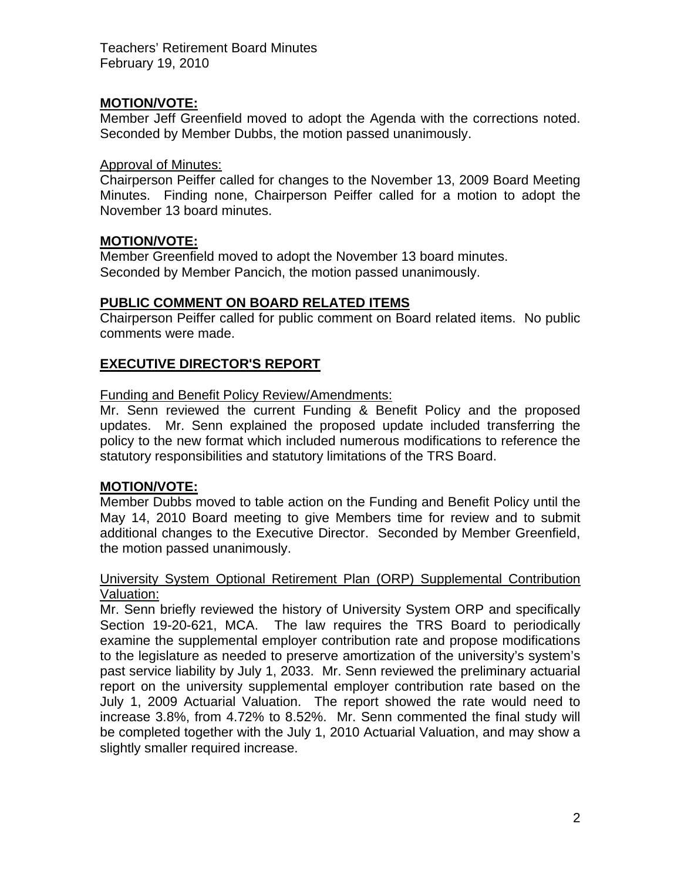# **MOTION/VOTE:**

Member Jeff Greenfield moved to adopt the Agenda with the corrections noted. Seconded by Member Dubbs, the motion passed unanimously.

# Approval of Minutes:

Chairperson Peiffer called for changes to the November 13, 2009 Board Meeting Minutes. Finding none, Chairperson Peiffer called for a motion to adopt the November 13 board minutes.

# **MOTION/VOTE:**

Member Greenfield moved to adopt the November 13 board minutes. Seconded by Member Pancich, the motion passed unanimously.

# **PUBLIC COMMENT ON BOARD RELATED ITEMS**

Chairperson Peiffer called for public comment on Board related items. No public comments were made.

# **EXECUTIVE DIRECTOR'S REPORT**

### Funding and Benefit Policy Review/Amendments:

Mr. Senn reviewed the current Funding & Benefit Policy and the proposed updates. Mr. Senn explained the proposed update included transferring the policy to the new format which included numerous modifications to reference the statutory responsibilities and statutory limitations of the TRS Board.

# **MOTION/VOTE:**

Member Dubbs moved to table action on the Funding and Benefit Policy until the May 14, 2010 Board meeting to give Members time for review and to submit additional changes to the Executive Director. Seconded by Member Greenfield, the motion passed unanimously.

#### University System Optional Retirement Plan (ORP) Supplemental Contribution Valuation:

Mr. Senn briefly reviewed the history of University System ORP and specifically Section 19-20-621, MCA. The law requires the TRS Board to periodically examine the supplemental employer contribution rate and propose modifications to the legislature as needed to preserve amortization of the university's system's past service liability by July 1, 2033. Mr. Senn reviewed the preliminary actuarial report on the university supplemental employer contribution rate based on the July 1, 2009 Actuarial Valuation. The report showed the rate would need to increase 3.8%, from 4.72% to 8.52%. Mr. Senn commented the final study will be completed together with the July 1, 2010 Actuarial Valuation, and may show a slightly smaller required increase.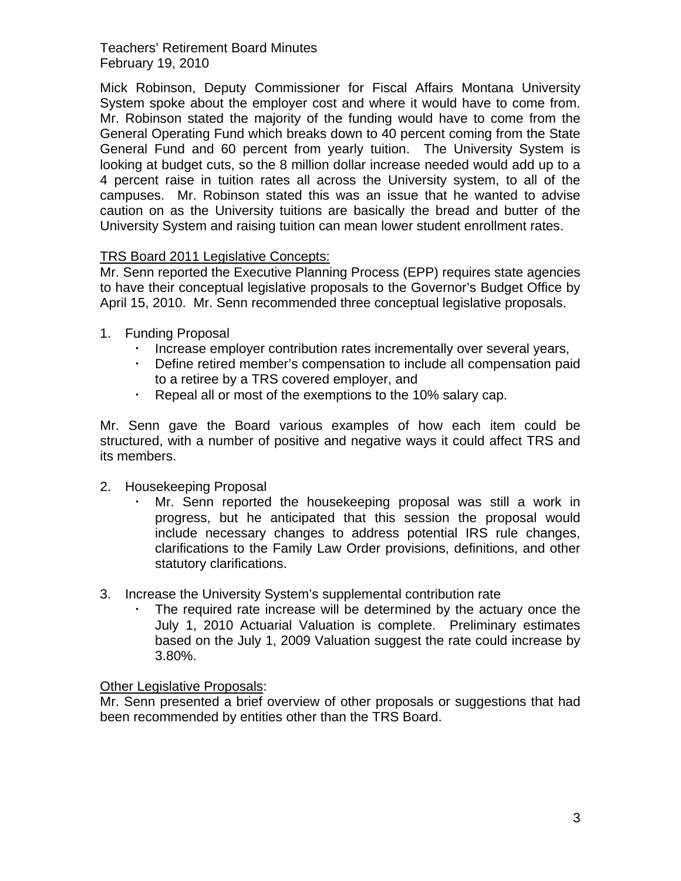Mick Robinson, Deputy Commissioner for Fiscal Affairs Montana University System spoke about the employer cost and where it would have to come from. Mr. Robinson stated the majority of the funding would have to come from the General Operating Fund which breaks down to 40 percent coming from the State General Fund and 60 percent from yearly tuition. The University System is looking at budget cuts, so the 8 million dollar increase needed would add up to a 4 percent raise in tuition rates all across the University system, to all of the campuses. Mr. Robinson stated this was an issue that he wanted to advise caution on as the University tuitions are basically the bread and butter of the University System and raising tuition can mean lower student enrollment rates.

# TRS Board 2011 Legislative Concepts:

Mr. Senn reported the Executive Planning Process (EPP) requires state agencies to have their conceptual legislative proposals to the Governor's Budget Office by April 15, 2010. Mr. Senn recommended three conceptual legislative proposals.

- 1. Funding Proposal
	- Increase employer contribution rates incrementally over several years,
	- Define retired member's compensation to include all compensation paid to a retiree by a TRS covered employer, and
	- Repeal all or most of the exemptions to the 10% salary cap.

Mr. Senn gave the Board various examples of how each item could be structured, with a number of positive and negative ways it could affect TRS and its members.

- 2. Housekeeping Proposal
	- Mr. Senn reported the housekeeping proposal was still a work in progress, but he anticipated that this session the proposal would include necessary changes to address potential IRS rule changes, clarifications to the Family Law Order provisions, definitions, and other statutory clarifications.
- 3. Increase the University System's supplemental contribution rate
	- The required rate increase will be determined by the actuary once the July 1, 2010 Actuarial Valuation is complete. Preliminary estimates based on the July 1, 2009 Valuation suggest the rate could increase by 3.80%.

# Other Legislative Proposals:

Mr. Senn presented a brief overview of other proposals or suggestions that had been recommended by entities other than the TRS Board.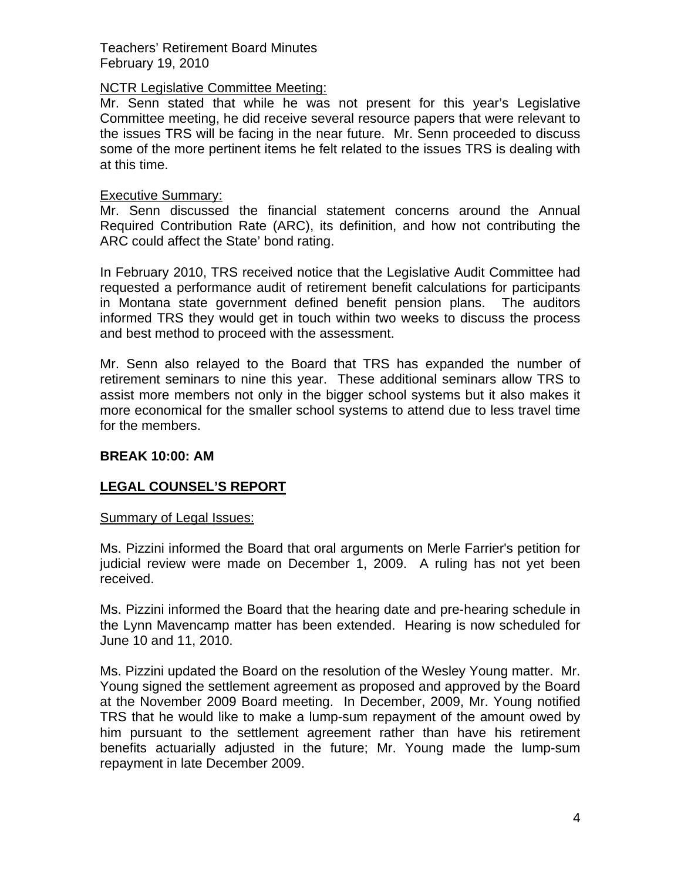# NCTR Legislative Committee Meeting:

Mr. Senn stated that while he was not present for this year's Legislative Committee meeting, he did receive several resource papers that were relevant to the issues TRS will be facing in the near future. Mr. Senn proceeded to discuss some of the more pertinent items he felt related to the issues TRS is dealing with at this time.

### Executive Summary:

Mr. Senn discussed the financial statement concerns around the Annual Required Contribution Rate (ARC), its definition, and how not contributing the ARC could affect the State' bond rating.

In February 2010, TRS received notice that the Legislative Audit Committee had requested a performance audit of retirement benefit calculations for participants in Montana state government defined benefit pension plans. The auditors informed TRS they would get in touch within two weeks to discuss the process and best method to proceed with the assessment.

Mr. Senn also relayed to the Board that TRS has expanded the number of retirement seminars to nine this year. These additional seminars allow TRS to assist more members not only in the bigger school systems but it also makes it more economical for the smaller school systems to attend due to less travel time for the members.

# **BREAK 10:00: AM**

# **LEGAL COUNSEL'S REPORT**

#### Summary of Legal Issues:

Ms. Pizzini informed the Board that oral arguments on Merle Farrier's petition for judicial review were made on December 1, 2009. A ruling has not yet been received.

Ms. Pizzini informed the Board that the hearing date and pre-hearing schedule in the Lynn Mavencamp matter has been extended. Hearing is now scheduled for June 10 and 11, 2010.

Ms. Pizzini updated the Board on the resolution of the Wesley Young matter. Mr. Young signed the settlement agreement as proposed and approved by the Board at the November 2009 Board meeting. In December, 2009, Mr. Young notified TRS that he would like to make a lump-sum repayment of the amount owed by him pursuant to the settlement agreement rather than have his retirement benefits actuarially adjusted in the future; Mr. Young made the lump-sum repayment in late December 2009.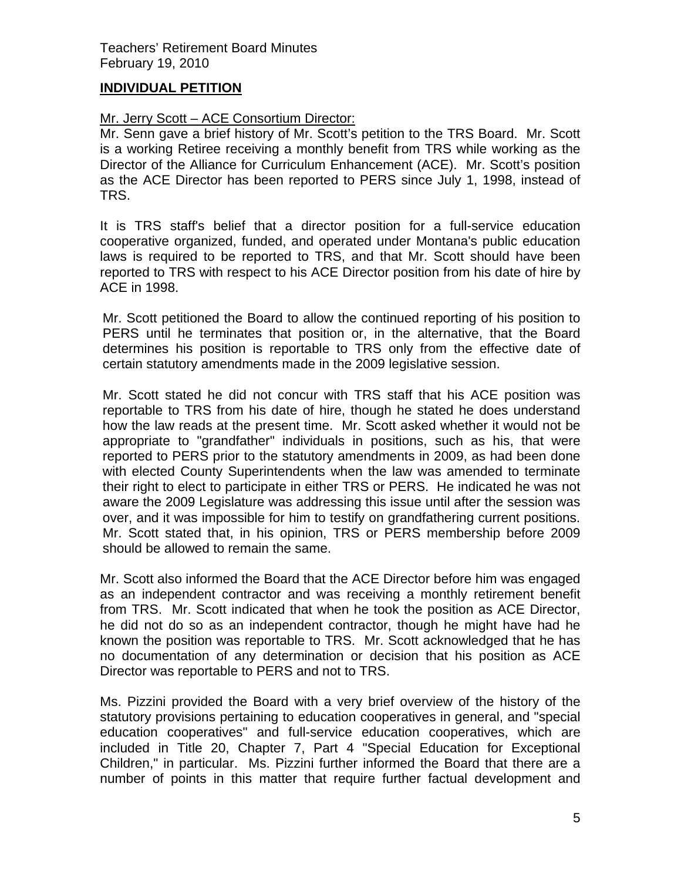# **INDIVIDUAL PETITION**

# Mr. Jerry Scott – ACE Consortium Director:

Mr. Senn gave a brief history of Mr. Scott's petition to the TRS Board. Mr. Scott is a working Retiree receiving a monthly benefit from TRS while working as the Director of the Alliance for Curriculum Enhancement (ACE). Mr. Scott's position as the ACE Director has been reported to PERS since July 1, 1998, instead of TRS.

It is TRS staff's belief that a director position for a full-service education cooperative organized, funded, and operated under Montana's public education laws is required to be reported to TRS, and that Mr. Scott should have been reported to TRS with respect to his ACE Director position from his date of hire by ACE in 1998.

Mr. Scott petitioned the Board to allow the continued reporting of his position to PERS until he terminates that position or, in the alternative, that the Board determines his position is reportable to TRS only from the effective date of certain statutory amendments made in the 2009 legislative session.

Mr. Scott stated he did not concur with TRS staff that his ACE position was reportable to TRS from his date of hire, though he stated he does understand how the law reads at the present time. Mr. Scott asked whether it would not be appropriate to "grandfather" individuals in positions, such as his, that were reported to PERS prior to the statutory amendments in 2009, as had been done with elected County Superintendents when the law was amended to terminate their right to elect to participate in either TRS or PERS. He indicated he was not aware the 2009 Legislature was addressing this issue until after the session was over, and it was impossible for him to testify on grandfathering current positions. Mr. Scott stated that, in his opinion, TRS or PERS membership before 2009 should be allowed to remain the same.

Mr. Scott also informed the Board that the ACE Director before him was engaged as an independent contractor and was receiving a monthly retirement benefit from TRS. Mr. Scott indicated that when he took the position as ACE Director, he did not do so as an independent contractor, though he might have had he known the position was reportable to TRS. Mr. Scott acknowledged that he has no documentation of any determination or decision that his position as ACE Director was reportable to PERS and not to TRS.

Ms. Pizzini provided the Board with a very brief overview of the history of the statutory provisions pertaining to education cooperatives in general, and "special education cooperatives" and full-service education cooperatives, which are included in Title 20, Chapter 7, Part 4 "Special Education for Exceptional Children," in particular. Ms. Pizzini further informed the Board that there are a number of points in this matter that require further factual development and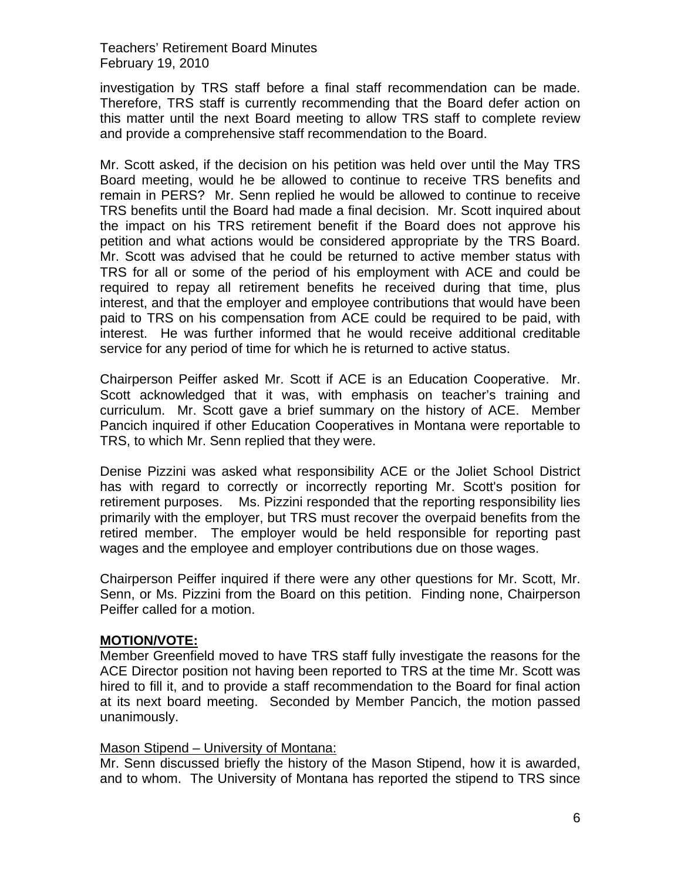investigation by TRS staff before a final staff recommendation can be made. Therefore, TRS staff is currently recommending that the Board defer action on this matter until the next Board meeting to allow TRS staff to complete review and provide a comprehensive staff recommendation to the Board.

Mr. Scott asked, if the decision on his petition was held over until the May TRS Board meeting, would he be allowed to continue to receive TRS benefits and remain in PERS? Mr. Senn replied he would be allowed to continue to receive TRS benefits until the Board had made a final decision. Mr. Scott inquired about the impact on his TRS retirement benefit if the Board does not approve his petition and what actions would be considered appropriate by the TRS Board. Mr. Scott was advised that he could be returned to active member status with TRS for all or some of the period of his employment with ACE and could be required to repay all retirement benefits he received during that time, plus interest, and that the employer and employee contributions that would have been paid to TRS on his compensation from ACE could be required to be paid, with interest. He was further informed that he would receive additional creditable service for any period of time for which he is returned to active status.

Chairperson Peiffer asked Mr. Scott if ACE is an Education Cooperative. Mr. Scott acknowledged that it was, with emphasis on teacher's training and curriculum. Mr. Scott gave a brief summary on the history of ACE. Member Pancich inquired if other Education Cooperatives in Montana were reportable to TRS, to which Mr. Senn replied that they were.

Denise Pizzini was asked what responsibility ACE or the Joliet School District has with regard to correctly or incorrectly reporting Mr. Scott's position for retirement purposes. Ms. Pizzini responded that the reporting responsibility lies primarily with the employer, but TRS must recover the overpaid benefits from the retired member. The employer would be held responsible for reporting past wages and the employee and employer contributions due on those wages.

Chairperson Peiffer inquired if there were any other questions for Mr. Scott, Mr. Senn, or Ms. Pizzini from the Board on this petition. Finding none, Chairperson Peiffer called for a motion.

# **MOTION/VOTE:**

Member Greenfield moved to have TRS staff fully investigate the reasons for the ACE Director position not having been reported to TRS at the time Mr. Scott was hired to fill it, and to provide a staff recommendation to the Board for final action at its next board meeting. Seconded by Member Pancich, the motion passed unanimously.

# Mason Stipend – University of Montana:

Mr. Senn discussed briefly the history of the Mason Stipend, how it is awarded, and to whom. The University of Montana has reported the stipend to TRS since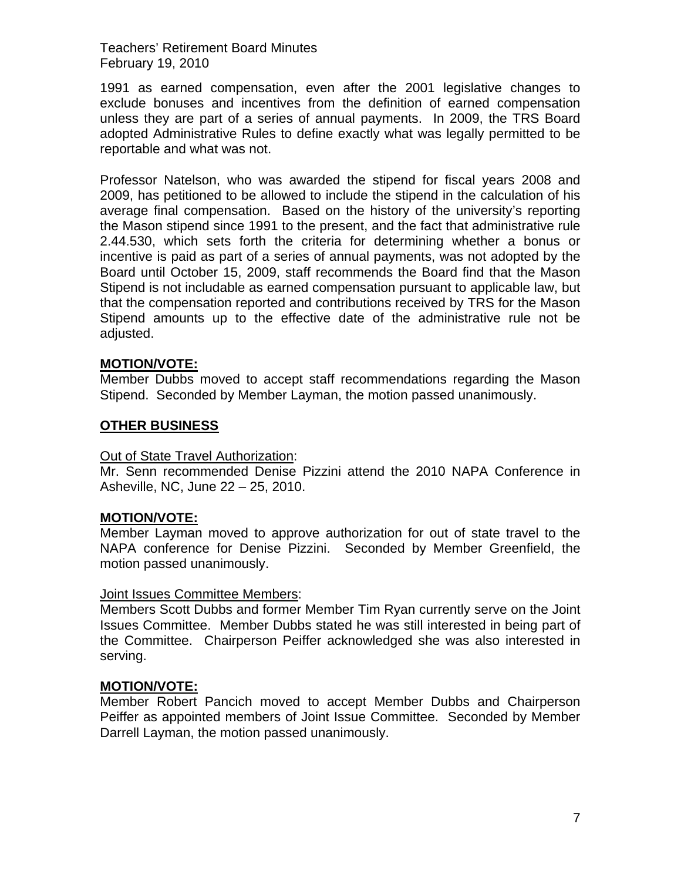1991 as earned compensation, even after the 2001 legislative changes to exclude bonuses and incentives from the definition of earned compensation unless they are part of a series of annual payments. In 2009, the TRS Board adopted Administrative Rules to define exactly what was legally permitted to be reportable and what was not.

Professor Natelson, who was awarded the stipend for fiscal years 2008 and 2009, has petitioned to be allowed to include the stipend in the calculation of his average final compensation. Based on the history of the university's reporting the Mason stipend since 1991 to the present, and the fact that administrative rule 2.44.530, which sets forth the criteria for determining whether a bonus or incentive is paid as part of a series of annual payments, was not adopted by the Board until October 15, 2009, staff recommends the Board find that the Mason Stipend is not includable as earned compensation pursuant to applicable law, but that the compensation reported and contributions received by TRS for the Mason Stipend amounts up to the effective date of the administrative rule not be adjusted.

### **MOTION/VOTE:**

Member Dubbs moved to accept staff recommendations regarding the Mason Stipend. Seconded by Member Layman, the motion passed unanimously.

### **OTHER BUSINESS**

#### Out of State Travel Authorization:

Mr. Senn recommended Denise Pizzini attend the 2010 NAPA Conference in Asheville, NC, June 22 – 25, 2010.

#### **MOTION/VOTE:**

Member Layman moved to approve authorization for out of state travel to the NAPA conference for Denise Pizzini. Seconded by Member Greenfield, the motion passed unanimously.

#### Joint Issues Committee Members:

Members Scott Dubbs and former Member Tim Ryan currently serve on the Joint Issues Committee. Member Dubbs stated he was still interested in being part of the Committee. Chairperson Peiffer acknowledged she was also interested in serving.

#### **MOTION/VOTE:**

Member Robert Pancich moved to accept Member Dubbs and Chairperson Peiffer as appointed members of Joint Issue Committee. Seconded by Member Darrell Layman, the motion passed unanimously.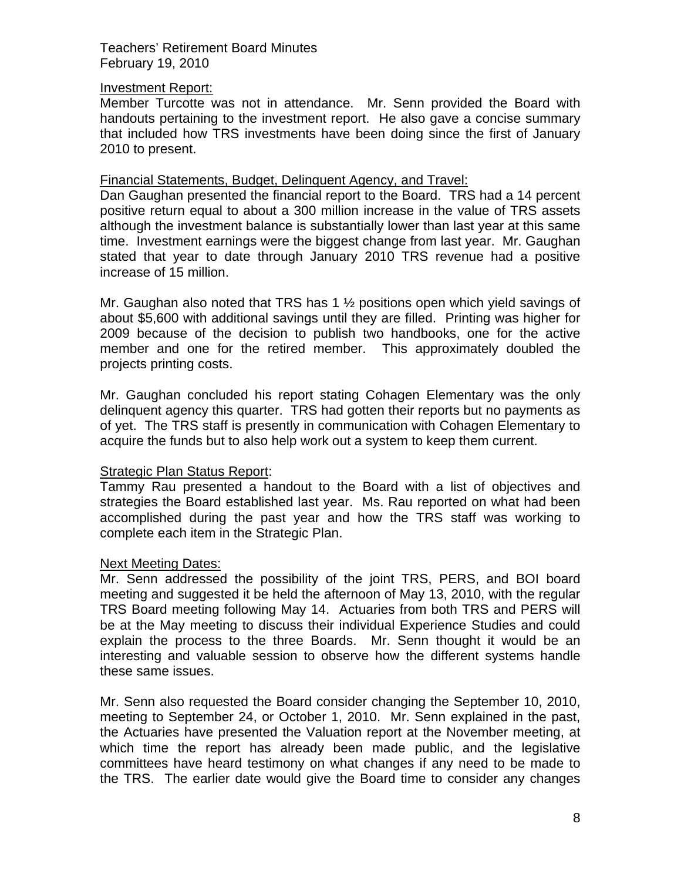#### Investment Report:

Member Turcotte was not in attendance. Mr. Senn provided the Board with handouts pertaining to the investment report. He also gave a concise summary that included how TRS investments have been doing since the first of January 2010 to present.

### Financial Statements, Budget, Delinquent Agency, and Travel:

Dan Gaughan presented the financial report to the Board. TRS had a 14 percent positive return equal to about a 300 million increase in the value of TRS assets although the investment balance is substantially lower than last year at this same time. Investment earnings were the biggest change from last year. Mr. Gaughan stated that year to date through January 2010 TRS revenue had a positive increase of 15 million.

Mr. Gaughan also noted that TRS has 1 ½ positions open which yield savings of about \$5,600 with additional savings until they are filled. Printing was higher for 2009 because of the decision to publish two handbooks, one for the active member and one for the retired member. This approximately doubled the projects printing costs.

Mr. Gaughan concluded his report stating Cohagen Elementary was the only delinquent agency this quarter. TRS had gotten their reports but no payments as of yet. The TRS staff is presently in communication with Cohagen Elementary to acquire the funds but to also help work out a system to keep them current.

# Strategic Plan Status Report:

Tammy Rau presented a handout to the Board with a list of objectives and strategies the Board established last year. Ms. Rau reported on what had been accomplished during the past year and how the TRS staff was working to complete each item in the Strategic Plan.

# Next Meeting Dates:

Mr. Senn addressed the possibility of the joint TRS, PERS, and BOI board meeting and suggested it be held the afternoon of May 13, 2010, with the regular TRS Board meeting following May 14. Actuaries from both TRS and PERS will be at the May meeting to discuss their individual Experience Studies and could explain the process to the three Boards. Mr. Senn thought it would be an interesting and valuable session to observe how the different systems handle these same issues.

Mr. Senn also requested the Board consider changing the September 10, 2010, meeting to September 24, or October 1, 2010. Mr. Senn explained in the past, the Actuaries have presented the Valuation report at the November meeting, at which time the report has already been made public, and the legislative committees have heard testimony on what changes if any need to be made to the TRS. The earlier date would give the Board time to consider any changes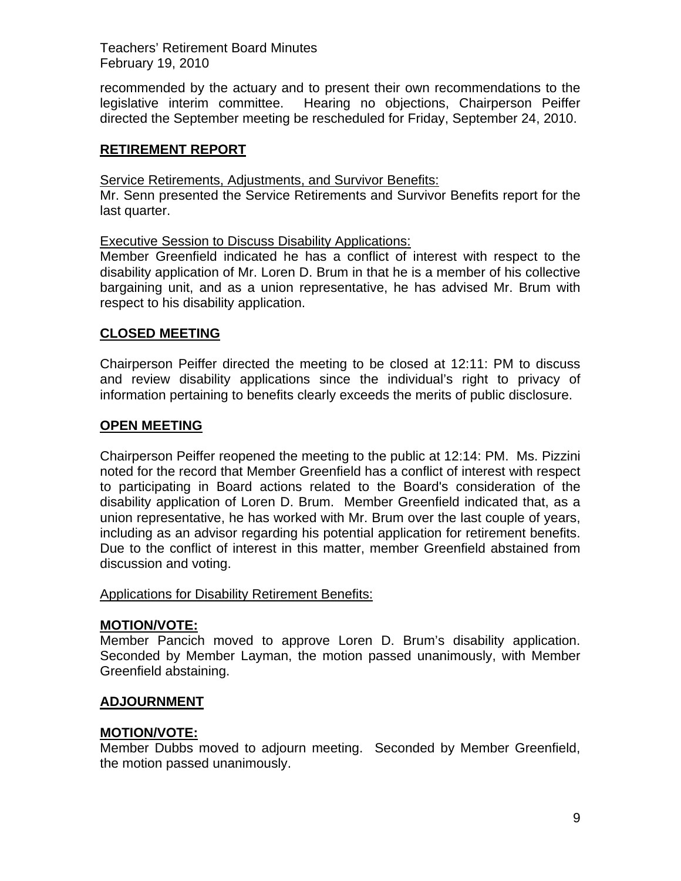recommended by the actuary and to present their own recommendations to the legislative interim committee. Hearing no objections, Chairperson Peiffer directed the September meeting be rescheduled for Friday, September 24, 2010.

# **RETIREMENT REPORT**

Service Retirements, Adjustments, and Survivor Benefits:

Mr. Senn presented the Service Retirements and Survivor Benefits report for the last quarter.

Executive Session to Discuss Disability Applications:

Member Greenfield indicated he has a conflict of interest with respect to the disability application of Mr. Loren D. Brum in that he is a member of his collective bargaining unit, and as a union representative, he has advised Mr. Brum with respect to his disability application.

# **CLOSED MEETING**

Chairperson Peiffer directed the meeting to be closed at 12:11: PM to discuss and review disability applications since the individual's right to privacy of information pertaining to benefits clearly exceeds the merits of public disclosure.

# **OPEN MEETING**

Chairperson Peiffer reopened the meeting to the public at 12:14: PM. Ms. Pizzini noted for the record that Member Greenfield has a conflict of interest with respect to participating in Board actions related to the Board's consideration of the disability application of Loren D. Brum. Member Greenfield indicated that, as a union representative, he has worked with Mr. Brum over the last couple of years, including as an advisor regarding his potential application for retirement benefits. Due to the conflict of interest in this matter, member Greenfield abstained from discussion and voting.

# Applications for Disability Retirement Benefits:

# **MOTION/VOTE:**

Member Pancich moved to approve Loren D. Brum's disability application. Seconded by Member Layman, the motion passed unanimously, with Member Greenfield abstaining.

# **ADJOURNMENT**

# **MOTION/VOTE:**

Member Dubbs moved to adjourn meeting. Seconded by Member Greenfield, the motion passed unanimously.